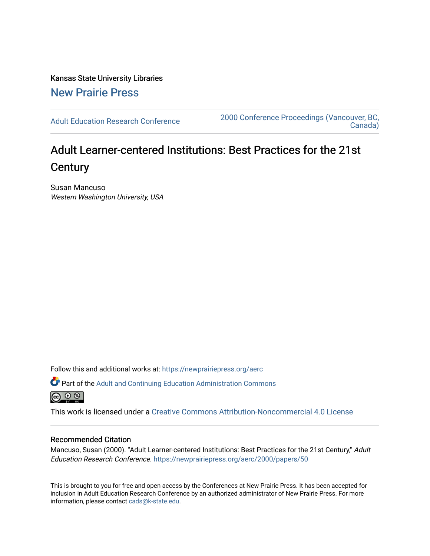Kansas State University Libraries [New Prairie Press](https://newprairiepress.org/) 

[Adult Education Research Conference](https://newprairiepress.org/aerc) [2000 Conference Proceedings \(Vancouver, BC,](https://newprairiepress.org/aerc/2000)  [Canada\)](https://newprairiepress.org/aerc/2000) 

# Adult Learner-centered Institutions: Best Practices for the 21st **Century**

Susan Mancuso Western Washington University, USA

Follow this and additional works at: [https://newprairiepress.org/aerc](https://newprairiepress.org/aerc?utm_source=newprairiepress.org%2Faerc%2F2000%2Fpapers%2F50&utm_medium=PDF&utm_campaign=PDFCoverPages)

Part of the [Adult and Continuing Education Administration Commons](http://network.bepress.com/hgg/discipline/789?utm_source=newprairiepress.org%2Faerc%2F2000%2Fpapers%2F50&utm_medium=PDF&utm_campaign=PDFCoverPages) 

This work is licensed under a [Creative Commons Attribution-Noncommercial 4.0 License](https://creativecommons.org/licenses/by-nc/4.0/)

## Recommended Citation

Mancuso, Susan (2000). "Adult Learner-centered Institutions: Best Practices for the 21st Century," Adult Education Research Conference. <https://newprairiepress.org/aerc/2000/papers/50>

This is brought to you for free and open access by the Conferences at New Prairie Press. It has been accepted for inclusion in Adult Education Research Conference by an authorized administrator of New Prairie Press. For more information, please contact [cads@k-state.edu](mailto:cads@k-state.edu).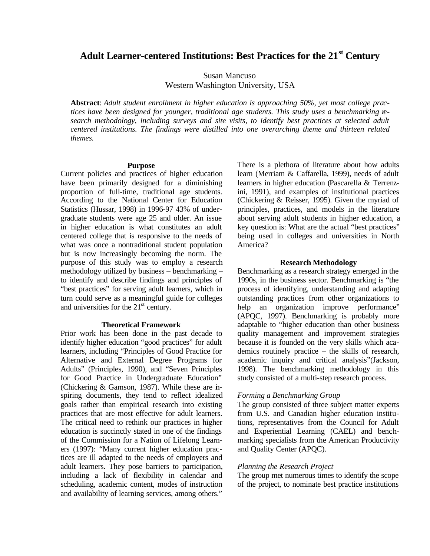## **Adult Learner-centered Institutions: Best Practices for the 21st Century**

Susan Mancuso Western Washington University, USA

**Abstract**: *Adult student enrollment in higher education is approaching 50%, yet most college practices have been designed for younger, traditional age students. This study uses a benchmarking research methodology, including surveys and site visits, to identify best practices at selected adult centered institutions. The findings were distilled into one overarching theme and thirteen related themes.*

#### **Purpose**

Current policies and practices of higher education have been primarily designed for a diminishing proportion of full-time, traditional age students. According to the National Center for Education Statistics (Hussar, 1998) in 1996-97 43% of undergraduate students were age 25 and older. An issue in higher education is what constitutes an adult centered college that is responsive to the needs of what was once a nontraditional student population but is now increasingly becoming the norm. The purpose of this study was to employ a research methodology utilized by business – benchmarking – to identify and describe findings and principles of "best practices" for serving adult learners, which in turn could serve as a meaningful guide for colleges and universities for the  $21<sup>st</sup>$  century.

## **Theoretical Framework**

Prior work has been done in the past decade to identify higher education "good practices" for adult learners, including "Principles of Good Practice for Alternative and External Degree Programs for Adults" (Principles, 1990), and "Seven Principles for Good Practice in Undergraduate Education" (Chickering & Gamson, 1987). While these are inspiring documents, they tend to reflect idealized goals rather than empirical research into existing practices that are most effective for adult learners. The critical need to rethink our practices in higher education is succinctly stated in one of the findings of the Commission for a Nation of Lifelong Learners (1997): "Many current higher education practices are ill adapted to the needs of employers and adult learners. They pose barriers to participation, including a lack of flexibility in calendar and scheduling, academic content, modes of instruction and availability of learning services, among others." There is a plethora of literature about how adults learn (Merriam & Caffarella, 1999), needs of adult learners in higher education (Pascarella & Terrenzini, 1991), and examples of institutional practices (Chickering & Reisser, 1995). Given the myriad of principles, practices, and models in the literature about serving adult students in higher education, a key question is: What are the actual "best practices" being used in colleges and universities in North America?

#### **Research Methodology**

Benchmarking as a research strategy emerged in the 1990s, in the business sector. Benchmarking is "the process of identifying, understanding and adapting outstanding practices from other organizations to help an organization improve performance" (APQC, 1997). Benchmarking is probably more adaptable to "higher education than other business quality management and improvement strategies because it is founded on the very skills which academics routinely practice – the skills of research, academic inquiry and critical analysis"(Jackson, 1998). The benchmarking methodology in this study consisted of a multi-step research process.

## *Forming a Benchmarking Group*

The group consisted of three subject matter experts from U.S. and Canadian higher education institutions, representatives from the Council for Adult and Experiential Learning (CAEL) and benchmarking specialists from the American Productivity and Quality Center (APQC).

#### *Planning the Research Project*

The group met numerous times to identify the scope of the project, to nominate best practice institutions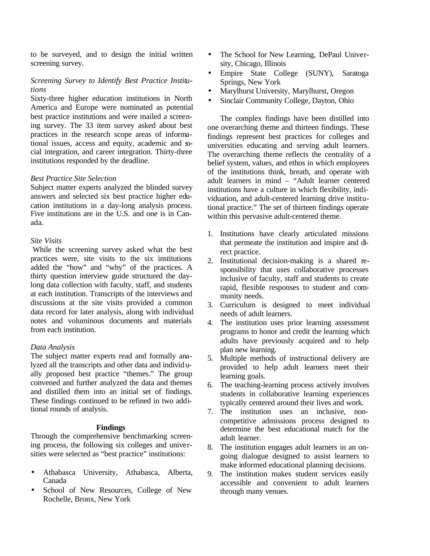to be surveyed, and to design the initial written screening survey.

## *Screening Survey to Identify Best Practice Institutions*

Sixty-three higher education institutions in North America and Europe were nominated as potential best practice institutions and were mailed a screening survey. The 33 item survey asked about best practices in the research scope areas of informational issues, access and equity, academic and social integration, and career integration. Thirty-three institutions responded by the deadline.

## *Best Practice Site Selection*

Subject matter experts analyzed the blinded survey answers and selected six best practice higher education institutions in a day-long analysis process. Five institutions are in the U.S. and one is in Canada.

## *Site Visits*

While the screening survey asked what the best practices were, site visits to the six institutions added the "how" and "why" of the practices. A thirty question interview guide structured the daylong data collection with faculty, staff, and students at each institution. Transcripts of the interviews and discussions at the site visits provided a common data record for later analysis, along with individual notes and voluminous documents and materials from each institution.

## *Data Analysis*

The subject matter experts read and formally analyzed all the transcripts and other data and individually proposed best practice "themes." The group convened and further analyzed the data and themes and distilled them into an initial set of findings. These findings continued to be refined in two additional rounds of analysis.

## **Findings**

Through the comprehensive benchmarking screening process, the following six colleges and universities were selected as "best practice" institutions:

- Athabasca University, Athabasca, Alberta, Canada
- School of New Resources, College of New Rochelle, Bronx, New York
- The School for New Learning, DePaul University, Chicago, Illinois
- Empire State College (SUNY), Saratoga Springs, New York
- Marylhurst University, Marylhurst, Oregon
- Sinclair Community College, Dayton, Ohio

The complex findings have been distilled into one overarching theme and thirteen findings. These findings represent best practices for colleges and universities educating and serving adult learners. The overarching theme reflects the centrality of a belief system, values, and ethos in which employees of the institutions think, breath, and operate with adult learners in mind – "Adult learner centered institutions have a culture in which flexibility, individuation, and adult-centered learning drive institutional practice." The set of thirteen findings operate within this pervasive adult-centered theme.

- 1. Institutions have clearly articulated missions that permeate the institution and inspire and direct practice.
- 2. Institutional decision-making is a shared responsibility that uses collaborative processes inclusive of faculty, staff and students to create rapid, flexible responses to student and community needs.
- 3. Curriculum is designed to meet individual needs of adult learners.
- 4. The institution uses prior learning assessment programs to honor and credit the learning which adults have previously acquired and to help plan new learning.
- 5. Multiple methods of instructional delivery are provided to help adult learners meet their learning goals.
- 6. The teaching-learning process actively involves students in collaborative learning experiences typically centered around their lives and work.
- 7. The institution uses an inclusive, noncompetitive admissions process designed to determine the best educational match for the adult learner.
- 8. The institution engages adult learners in an ongoing dialogue designed to assist learners to make informed educational planning decisions.
- 9. The institution makes student services easily accessible and convenient to adult learners through many venues.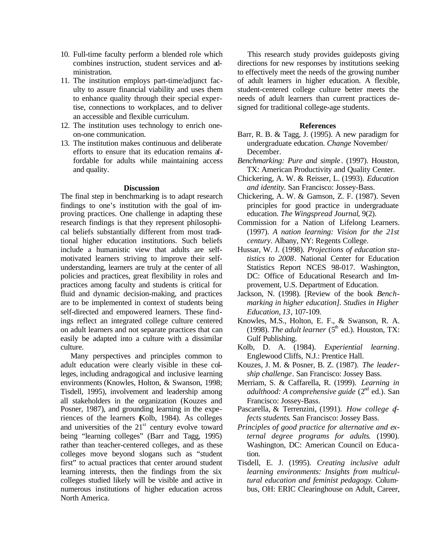- 10. Full-time faculty perform a blended role which combines instruction, student services and administration.
- 11. The institution employs part-time/adjunct faculty to assure financial viability and uses them to enhance quality through their special expertise, connections to workplaces, and to deliver an accessible and flexible curriculum.
- 12. The institution uses technology to enrich oneon-one communication.
- 13. The institution makes continuous and deliberate efforts to ensure that its education remains affordable for adults while maintaining access and quality.

## **Discussion**

The final step in benchmarking is to adapt research findings to one's institution with the goal of improving practices. One challenge in adapting these research findings is that they represent philosophical beliefs substantially different from most traditional higher education institutions. Such beliefs include a humanistic view that adults are selfmotivated learners striving to improve their selfunderstanding, learners are truly at the center of all policies and practices, great flexibility in roles and practices among faculty and students is critical for fluid and dynamic decision-making, and practices are to be implemented in context of students being self-directed and empowered learners. These findings reflect an integrated college culture centered on adult learners and not separate practices that can easily be adapted into a culture with a dissimilar culture.

Many perspectives and principles common to adult education were clearly visible in these colleges, including andragogical and inclusive learning environments (Knowles, Holton, & Swanson, 1998; Tisdell, 1995), involvement and leadership among all stakeholders in the organization (Kouzes and Posner, 1987), and grounding learning in the experiences of the learners (Kolb, 1984). As colleges and universities of the  $21<sup>st</sup>$  century evolve toward being "learning colleges" (Barr and Tagg, 1995) rather than teacher-centered colleges, and as these colleges move beyond slogans such as "student first" to actual practices that center around student learning interests, then the findings from the six colleges studied likely will be visible and active in numerous institutions of higher education across North America.

This research study provides guideposts giving directions for new responses by institutions seeking to effectively meet the needs of the growing number of adult learners in higher education. A flexible, student-centered college culture better meets the needs of adult learners than current practices designed for traditional college-age students.

## **References**

- Barr, R. B. & Tagg, J. (1995). A new paradigm for undergraduate education. *Change* November/ December.
- *Benchmarking: Pure and simple* . (1997). Houston, TX: American Productivity and Quality Center.
- Chickering, A. W. & Reisser, L. (1993). *Education and identity.* San Francisco: Jossey-Bass.
- Chickering, A. W. & Gamson, Z. F. (1987). Seven principles for good practice in undergraduate education. *The Wingspread Journal*, 9(2).
- Commission for a Nation of Lifelong Learners. (1997). *A nation learning: Vision for the 21st century*. Albany, NY: Regents College.
- Hussar, W. J. (1998). *Projections of education statistics to 2008*. National Center for Education Statistics Report NCES 98-017. Washington, DC: Office of Educational Research and Improvement, U.S. Department of Education.
- Jackson, N. (1998). [Review of the book *Benchmarking in higher education]. Studies in Higher Education, 13*, 107-109.
- Knowles, M.S., Holton, E. F., & Swanson, R. A. (1998). *The adult learner* ( $5<sup>th</sup>$  ed.). Houston, TX: Gulf Publishing.
- Kolb, D. A. (1984). *Experiential learning*. Englewood Cliffs, N.J.: Prentice Hall.
- Kouzes, J. M. & Posner, B. Z. (1987). *The leadership challenge*. San Francisco: Jossey Bass.
- Merriam, S. & Caffarella, R. (1999). *Learning in adulthood: A comprehensive guide* (2<sup>nd</sup> ed.). San Francisco: Jossey-Bass.
- Pascarella, & Terrenzini, (1991). *How college affects students*. San Francisco: Jossey Bass.
- *Principles of good practice for alternative and external degree programs for adults*. (1990). Washington, DC: American Council on Education.
- Tisdell, E. J. (1995). *Creating inclusive adult learning environments: Insights from multicultural education and feminist pedagogy*. Columbus, OH: ERIC Clearinghouse on Adult, Career,